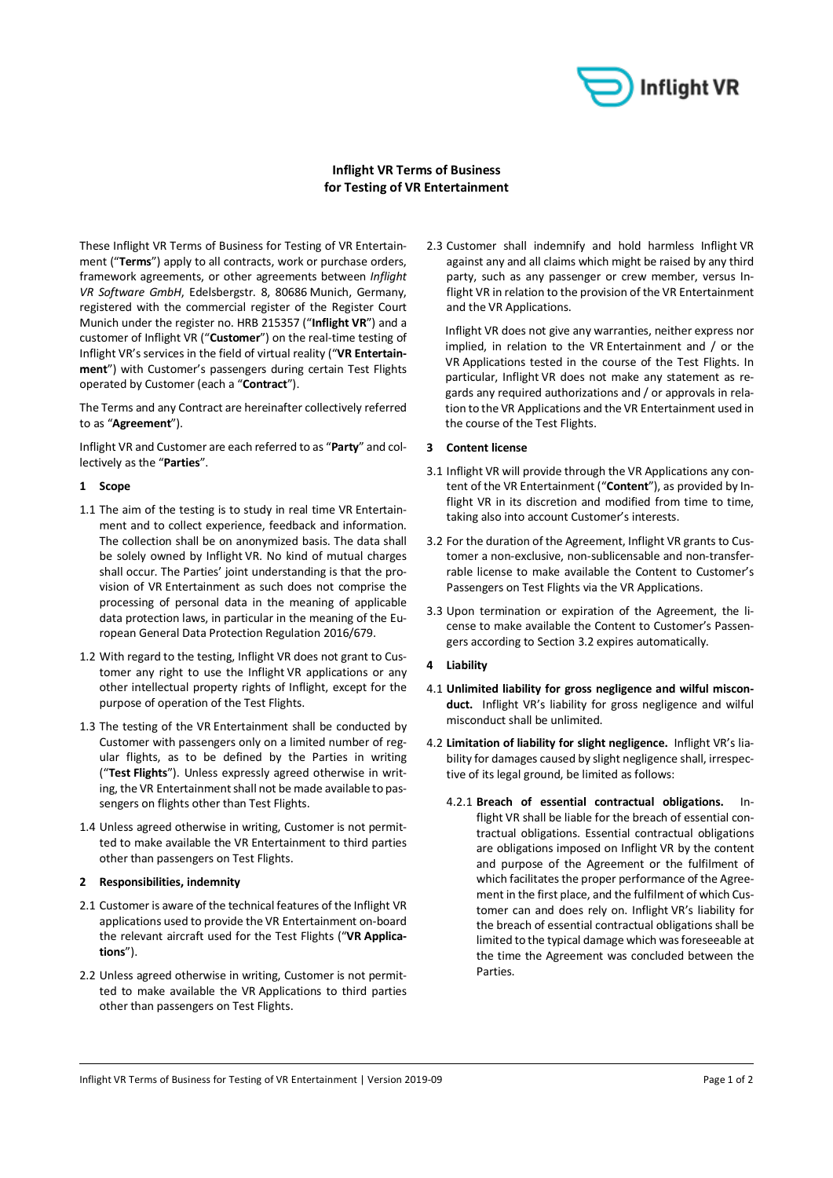

# **Inflight VR Terms of Business for Testing of VR Entertainment**

These Inflight VR Terms of Business for Testing of VR Entertainment ("**Terms**") apply to all contracts, work or purchase orders, framework agreements, or other agreements between *Inflight VR Software GmbH*, Edelsbergstr. 8, 80686 Munich, Germany, registered with the commercial register of the Register Court Munich under the register no. HRB 215357 ("**Inflight VR**") and a customer of Inflight VR ("**Customer**") on the real-time testing of Inflight VR's services in the field of virtual reality ("**VR Entertainment**") with Customer's passengers during certain Test Flights operated by Customer (each a "**Contract**").

The Terms and any Contract are hereinafter collectively referred to as "**Agreement**").

Inflight VR and Customer are each referred to as "**Party**" and collectively as the "**Parties**".

### **1 Scope**

- 1.1 The aim of the testing is to study in real time VR Entertainment and to collect experience, feedback and information. The collection shall be on anonymized basis. The data shall be solely owned by Inflight VR. No kind of mutual charges shall occur. The Parties' joint understanding is that the provision of VR Entertainment as such does not comprise the processing of personal data in the meaning of applicable data protection laws, in particular in the meaning of the European General Data Protection Regulation 2016/679.
- 1.2 With regard to the testing, Inflight VR does not grant to Customer any right to use the Inflight VR applications or any other intellectual property rights of Inflight, except for the purpose of operation of the Test Flights.
- 1.3 The testing of the VR Entertainment shall be conducted by Customer with passengers only on a limited number of regular flights, as to be defined by the Parties in writing ("**Test Flights**"). Unless expressly agreed otherwise in writing, the VR Entertainment shall not be made available to passengers on flights other than Test Flights.
- 1.4 Unless agreed otherwise in writing, Customer is not permitted to make available the VR Entertainment to third parties other than passengers on Test Flights.

## **2 Responsibilities, indemnity**

- 2.1 Customer is aware of the technical features of the Inflight VR applications used to provide the VR Entertainment on-board the relevant aircraft used for the Test Flights ("**VR Applications**").
- 2.2 Unless agreed otherwise in writing, Customer is not permitted to make available the VR Applications to third parties other than passengers on Test Flights.

2.3 Customer shall indemnify and hold harmless Inflight VR against any and all claims which might be raised by any third party, such as any passenger or crew member, versus Inflight VR in relation to the provision of the VR Entertainment and the VR Applications.

Inflight VR does not give any warranties, neither express nor implied, in relation to the VR Entertainment and / or the VR Applications tested in the course of the Test Flights. In particular, Inflight VR does not make any statement as regards any required authorizations and / or approvals in relation to the VR Applications and the VR Entertainment used in the course of the Test Flights.

## **3 Content license**

- 3.1 Inflight VR will provide through the VR Applications any content of the VR Entertainment ("**Content**"), as provided by Inflight VR in its discretion and modified from time to time, taking also into account Customer's interests.
- 3.2 For the duration of the Agreement, Inflight VR grants to Customer a non-exclusive, non-sublicensable and non-transferrable license to make available the Content to Customer's Passengers on Test Flights via the VR Applications.
- 3.3 Upon termination or expiration of the Agreement, the license to make available the Content to Customer's Passengers according to Section 3.2 expires automatically.
- **4 Liability**
- 4.1 **Unlimited liability for gross negligence and wilful misconduct.** Inflight VR's liability for gross negligence and wilful misconduct shall be unlimited.
- 4.2 **Limitation of liability for slight negligence.** Inflight VR's liability for damages caused by slight negligence shall, irrespective of its legal ground, be limited as follows:
	- 4.2.1 **Breach of essential contractual obligations.** Inflight VR shall be liable for the breach of essential contractual obligations. Essential contractual obligations are obligations imposed on Inflight VR by the content and purpose of the Agreement or the fulfilment of which facilitates the proper performance of the Agreement in the first place, and the fulfilment of which Customer can and does rely on. Inflight VR's liability for the breach of essential contractual obligations shall be limited to the typical damage which was foreseeable at the time the Agreement was concluded between the Parties.